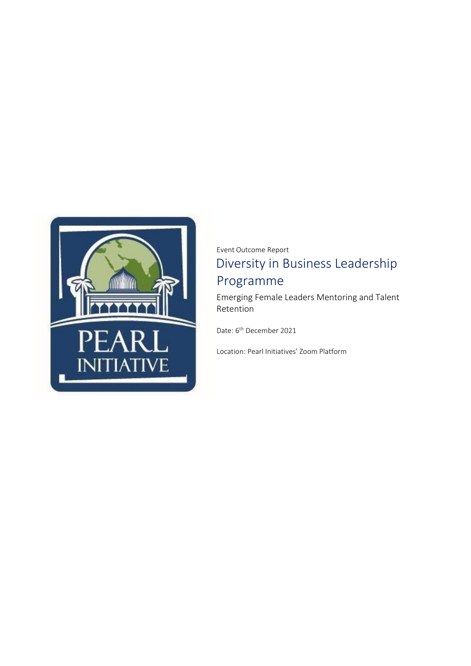

Event Outcome Report Diversity in Business Leadership Programme

Emerging Female Leaders Mentoring and Talent Retention

Date: 6<sup>th</sup> December 2021

Location: Pearl Initiatives' Zoom Platform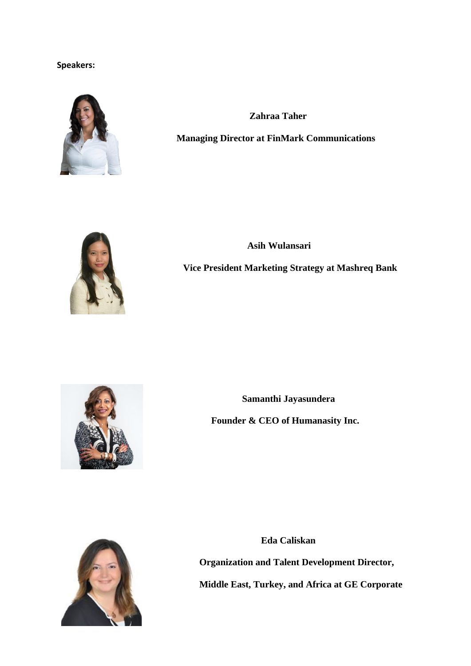## **Speakers:**



 **Zahraa Taher**

**Managing Director at FinMark Communications**



 **Asih Wulansari Vice President Marketing Strategy at Mashreq Bank**



 **Samanthi Jayasundera Founder & CEO of Humanasity Inc.**



 **Eda Caliskan Organization and Talent Development Director, Middle East, Turkey, and Africa at GE Corporate**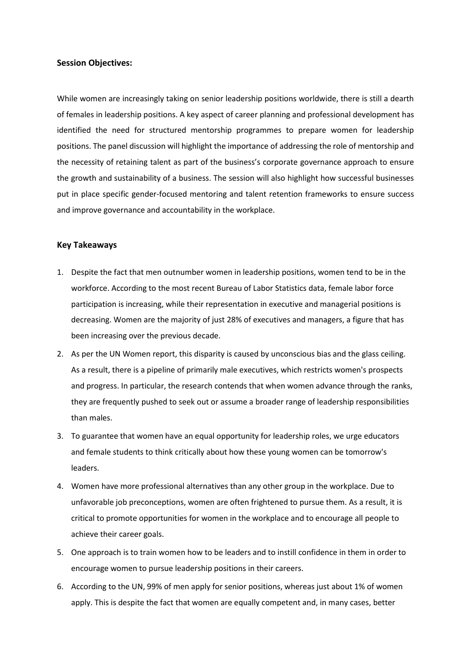## **Session Objectives:**

While women are increasingly taking on senior leadership positions worldwide, there is still a dearth of females in leadership positions. A key aspect of career planning and professional development has identified the need for structured mentorship programmes to prepare women for leadership positions. The panel discussion will highlight the importance of addressing the role of mentorship and the necessity of retaining talent as part of the business's corporate governance approach to ensure the growth and sustainability of a business. The session will also highlight how successful businesses put in place specific gender-focused mentoring and talent retention frameworks to ensure success and improve governance and accountability in the workplace.

## **Key Takeaways**

- 1. Despite the fact that men outnumber women in leadership positions, women tend to be in the workforce. According to the most recent Bureau of Labor Statistics data, female labor force participation is increasing, while their representation in executive and managerial positions is decreasing. Women are the majority of just 28% of executives and managers, a figure that has been increasing over the previous decade.
- 2. As per the UN Women report, this disparity is caused by unconscious bias and the glass ceiling. As a result, there is a pipeline of primarily male executives, which restricts women's prospects and progress. In particular, the research contends that when women advance through the ranks, they are frequently pushed to seek out or assume a broader range of leadership responsibilities than males.
- 3. To guarantee that women have an equal opportunity for leadership roles, we urge educators and female students to think critically about how these young women can be tomorrow's leaders.
- 4. Women have more professional alternatives than any other group in the workplace. Due to unfavorable job preconceptions, women are often frightened to pursue them. As a result, it is critical to promote opportunities for women in the workplace and to encourage all people to achieve their career goals.
- 5. One approach is to train women how to be leaders and to instill confidence in them in order to encourage women to pursue leadership positions in their careers.
- 6. According to the UN, 99% of men apply for senior positions, whereas just about 1% of women apply. This is despite the fact that women are equally competent and, in many cases, better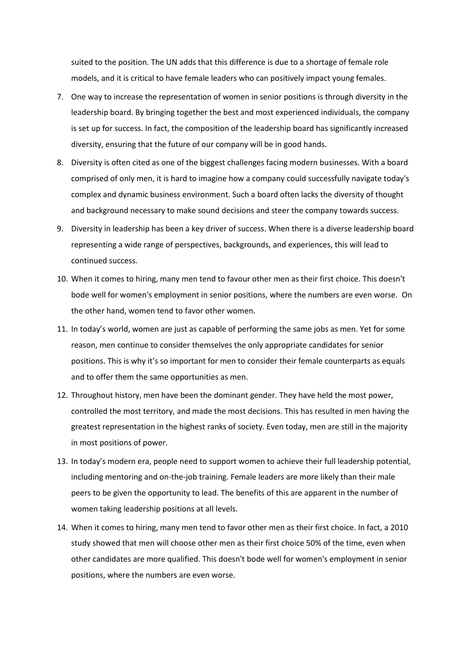suited to the position. The UN adds that this difference is due to a shortage of female role models, and it is critical to have female leaders who can positively impact young females.

- 7. One way to increase the representation of women in senior positions is through diversity in the leadership board. By bringing together the best and most experienced individuals, the company is set up for success. In fact, the composition of the leadership board has significantly increased diversity, ensuring that the future of our company will be in good hands.
- 8. Diversity is often cited as one of the biggest challenges facing modern businesses. With a board comprised of only men, it is hard to imagine how a company could successfully navigate today's complex and dynamic business environment. Such a board often lacks the diversity of thought and background necessary to make sound decisions and steer the company towards success.
- 9. Diversity in leadership has been a key driver of success. When there is a diverse leadership board representing a wide range of perspectives, backgrounds, and experiences, this will lead to continued success.
- 10. When it comes to hiring, many men tend to favour other men as their first choice. This doesn't bode well for women's employment in senior positions, where the numbers are even worse. On the other hand, women tend to favor other women.
- 11. In today's world, women are just as capable of performing the same jobs as men. Yet for some reason, men continue to consider themselves the only appropriate candidates for senior positions. This is why it's so important for men to consider their female counterparts as equals and to offer them the same opportunities as men.
- 12. Throughout history, men have been the dominant gender. They have held the most power, controlled the most territory, and made the most decisions. This has resulted in men having the greatest representation in the highest ranks of society. Even today, men are still in the majority in most positions of power.
- 13. In today's modern era, people need to support women to achieve their full leadership potential, including mentoring and on-the-job training. Female leaders are more likely than their male peers to be given the opportunity to lead. The benefits of this are apparent in the number of women taking leadership positions at all levels.
- 14. When it comes to hiring, many men tend to favor other men as their first choice. In fact, a 2010 study showed that men will choose other men as their first choice 50% of the time, even when other candidates are more qualified. This doesn't bode well for women's employment in senior positions, where the numbers are even worse.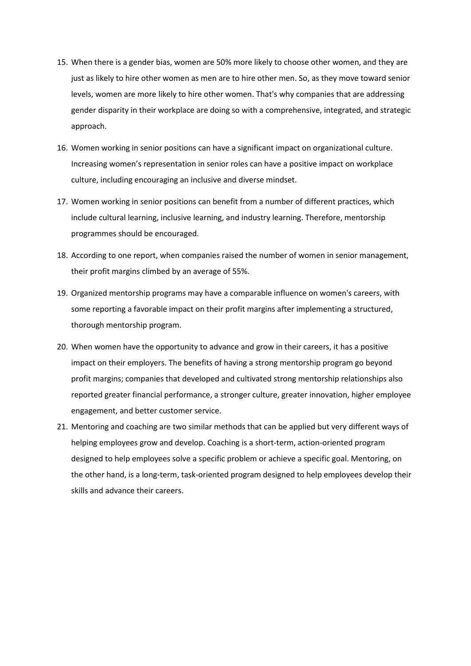- 15. When there is a gender bias, women are 50% more likely to choose other women, and they are just as likely to hire other women as men are to hire other men. So, as they move toward senior levels, women are more likely to hire other women. That's why companies that are addressing gender disparity in their workplace are doing so with a comprehensive, integrated, and strategic approach.
- 16. Women working in senior positions can have a significant impact on organizational culture. Increasing women's representation in senior roles can have a positive impact on workplace culture, including encouraging an inclusive and diverse mindset.
- 17. Women working in senior positions can benefit from a number of different practices, which include cultural learning, inclusive learning, and industry learning. Therefore, mentorship programmes should be encouraged.
- 18. According to one report, when companies raised the number of women in senior management, their profit margins climbed by an average of 55%.
- 19. Organized mentorship programs may have a comparable influence on women's careers, with some reporting a favorable impact on their profit margins after implementing a structured, thorough mentorship program.
- 20. When women have the opportunity to advance and grow in their careers, it has a positive impact on their employers. The benefits of having a strong mentorship program go beyond profit margins; companies that developed and cultivated strong mentorship relationships also reported greater financial performance, a stronger culture, greater innovation, higher employee engagement, and better customer service.
- 21. Mentoring and coaching are two similar methods that can be applied but very different ways of helping employees grow and develop. Coaching is a short-term, action-oriented program designed to help employees solve a specific problem or achieve a specific goal. Mentoring, on the other hand, is a long-term, task-oriented program designed to help employees develop their skills and advance their careers.